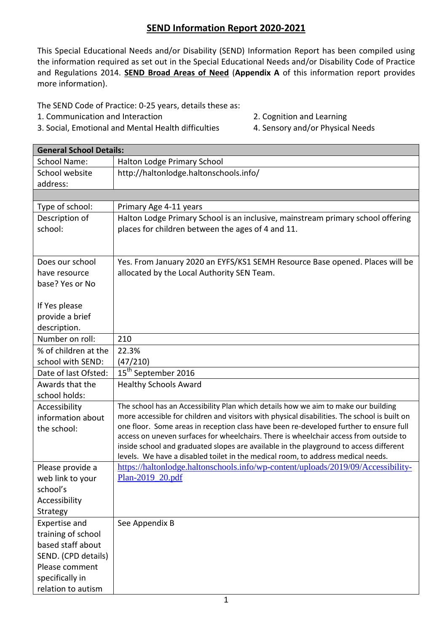# **SEND Information Report 2020-2021**

This Special Educational Needs and/or Disability (SEND) Information Report has been compiled using the information required as set out in the Special Educational Needs and/or Disability Code of Practice and Regulations 2014. **SEND Broad Areas of Need** (**Appendix A** of this information report provides more information).

The SEND Code of Practice: 0-25 years, details these as:

- 1. Communication and Interaction 2. Cognition and Learning
- 
- 3. Social, Emotional and Mental Health difficulties 4. Sensory and/or Physical Needs
- 

| <b>General School Details:</b>       |                                                                                                                                                                      |
|--------------------------------------|----------------------------------------------------------------------------------------------------------------------------------------------------------------------|
| <b>School Name:</b>                  | Halton Lodge Primary School                                                                                                                                          |
| School website                       | http://haltonlodge.haltonschools.info/                                                                                                                               |
| address:                             |                                                                                                                                                                      |
|                                      |                                                                                                                                                                      |
| Type of school:                      | Primary Age 4-11 years                                                                                                                                               |
| Description of                       | Halton Lodge Primary School is an inclusive, mainstream primary school offering                                                                                      |
| school:                              | places for children between the ages of 4 and 11.                                                                                                                    |
|                                      |                                                                                                                                                                      |
|                                      |                                                                                                                                                                      |
| Does our school                      | Yes. From January 2020 an EYFS/KS1 SEMH Resource Base opened. Places will be                                                                                         |
| have resource                        | allocated by the Local Authority SEN Team.                                                                                                                           |
| base? Yes or No                      |                                                                                                                                                                      |
| If Yes please                        |                                                                                                                                                                      |
| provide a brief                      |                                                                                                                                                                      |
| description.                         |                                                                                                                                                                      |
| Number on roll:                      | 210                                                                                                                                                                  |
| % of children at the                 | 22.3%                                                                                                                                                                |
| school with SEND:                    | (47/210)                                                                                                                                                             |
| Date of last Ofsted:                 | 15 <sup>th</sup> September 2016                                                                                                                                      |
| Awards that the                      | <b>Healthy Schools Award</b>                                                                                                                                         |
| school holds:                        |                                                                                                                                                                      |
| Accessibility                        | The school has an Accessibility Plan which details how we aim to make our building                                                                                   |
| information about                    | more accessible for children and visitors with physical disabilities. The school is built on                                                                         |
| the school:                          | one floor. Some areas in reception class have been re-developed further to ensure full                                                                               |
|                                      | access on uneven surfaces for wheelchairs. There is wheelchair access from outside to                                                                                |
|                                      | inside school and graduated slopes are available in the playground to access different                                                                               |
|                                      | levels. We have a disabled toilet in the medical room, to address medical needs.<br>https://haltonlodge.haltonschools.info/wp-content/uploads/2019/09/Accessibility- |
| Please provide a<br>web link to your | Plan-2019_20.pdf                                                                                                                                                     |
| school's                             |                                                                                                                                                                      |
| Accessibility                        |                                                                                                                                                                      |
| Strategy                             |                                                                                                                                                                      |
| <b>Expertise and</b>                 | See Appendix B                                                                                                                                                       |
| training of school                   |                                                                                                                                                                      |
| based staff about                    |                                                                                                                                                                      |
| SEND. (CPD details)                  |                                                                                                                                                                      |
| Please comment                       |                                                                                                                                                                      |
| specifically in                      |                                                                                                                                                                      |
| relation to autism                   |                                                                                                                                                                      |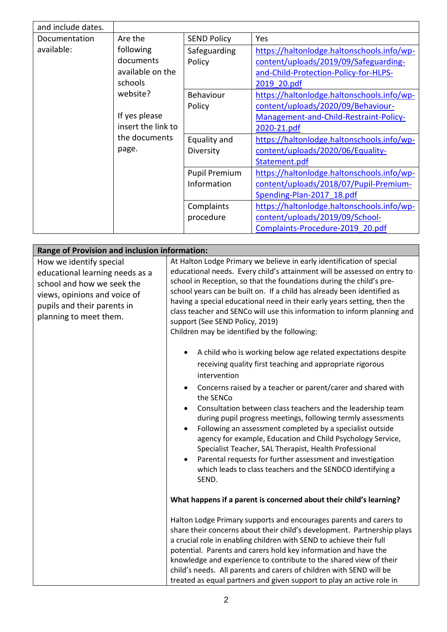| and include dates. |                    |                      |                                            |
|--------------------|--------------------|----------------------|--------------------------------------------|
| Documentation      | Are the            | <b>SEND Policy</b>   | Yes                                        |
| available:         | following          | Safeguarding         | https://haltonlodge.haltonschools.info/wp- |
|                    | documents          | Policy               | content/uploads/2019/09/Safeguarding-      |
|                    | available on the   |                      | and-Child-Protection-Policy-for-HLPS-      |
|                    | schools            |                      | 2019 20.pdf                                |
|                    | website?           | Behaviour            | https://haltonlodge.haltonschools.info/wp- |
|                    |                    | Policy               | content/uploads/2020/09/Behaviour-         |
|                    | If yes please      |                      | Management-and-Child-Restraint-Policy-     |
|                    | insert the link to |                      | 2020-21.pdf                                |
|                    | the documents      | Equality and         | https://haltonlodge.haltonschools.info/wp- |
|                    | page.              | Diversity            | content/uploads/2020/06/Equality-          |
|                    |                    |                      | Statement.pdf                              |
|                    |                    | <b>Pupil Premium</b> | https://haltonlodge.haltonschools.info/wp- |
|                    |                    | Information          | content/uploads/2018/07/Pupil-Premium-     |
|                    |                    |                      | Spending-Plan-2017 18.pdf                  |
|                    |                    | Complaints           | https://haltonlodge.haltonschools.info/wp- |
|                    |                    | procedure            | content/uploads/2019/09/School-            |
|                    |                    |                      | Complaints-Procedure-2019 20.pdf           |

| Range of Provision and inclusion information: |                                                                                                                                            |
|-----------------------------------------------|--------------------------------------------------------------------------------------------------------------------------------------------|
| How we identify special                       | At Halton Lodge Primary we believe in early identification of special                                                                      |
| educational learning needs as a               | educational needs. Every child's attainment will be assessed on entry to                                                                   |
| school and how we seek the                    | school in Reception, so that the foundations during the child's pre-                                                                       |
| views, opinions and voice of                  | school years can be built on. If a child has already been identified as                                                                    |
| pupils and their parents in                   | having a special educational need in their early years setting, then the                                                                   |
| planning to meet them.                        | class teacher and SENCo will use this information to inform planning and                                                                   |
|                                               | support (See SEND Policy, 2019)                                                                                                            |
|                                               | Children may be identified by the following:                                                                                               |
|                                               | A child who is working below age related expectations despite<br>receiving quality first teaching and appropriate rigorous<br>intervention |
|                                               | Concerns raised by a teacher or parent/carer and shared with<br>$\bullet$<br>the SENCo                                                     |
|                                               | Consultation between class teachers and the leadership team                                                                                |
|                                               | during pupil progress meetings, following termly assessments                                                                               |
|                                               | Following an assessment completed by a specialist outside<br>$\bullet$                                                                     |
|                                               | agency for example, Education and Child Psychology Service,                                                                                |
|                                               | Specialist Teacher, SAL Therapist, Health Professional                                                                                     |
|                                               | Parental requests for further assessment and investigation                                                                                 |
|                                               | which leads to class teachers and the SENDCO identifying a                                                                                 |
|                                               | SEND.                                                                                                                                      |
|                                               | What happens if a parent is concerned about their child's learning?                                                                        |
|                                               | Halton Lodge Primary supports and encourages parents and carers to                                                                         |
|                                               | share their concerns about their child's development. Partnership plays                                                                    |
|                                               | a crucial role in enabling children with SEND to achieve their full                                                                        |
|                                               | potential. Parents and carers hold key information and have the                                                                            |
|                                               | knowledge and experience to contribute to the shared view of their                                                                         |
|                                               | child's needs. All parents and carers of children with SEND will be                                                                        |
|                                               | treated as equal partners and given support to play an active role in                                                                      |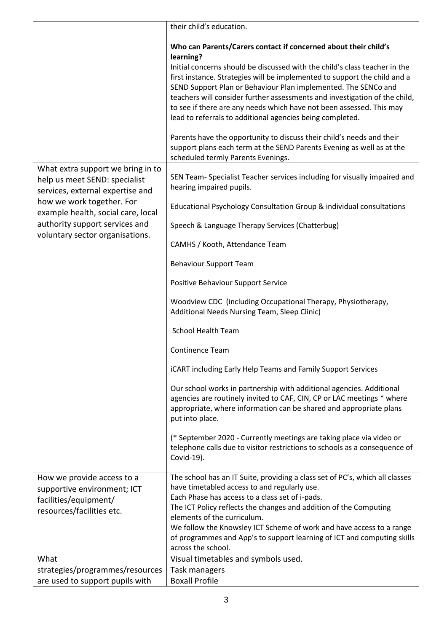|                                                                   | their child's education.                                                                                                                     |
|-------------------------------------------------------------------|----------------------------------------------------------------------------------------------------------------------------------------------|
|                                                                   |                                                                                                                                              |
|                                                                   | Who can Parents/Carers contact if concerned about their child's                                                                              |
|                                                                   | learning?<br>Initial concerns should be discussed with the child's class teacher in the                                                      |
|                                                                   | first instance. Strategies will be implemented to support the child and a                                                                    |
|                                                                   | SEND Support Plan or Behaviour Plan implemented. The SENCo and                                                                               |
|                                                                   | teachers will consider further assessments and investigation of the child,                                                                   |
|                                                                   | to see if there are any needs which have not been assessed. This may                                                                         |
|                                                                   | lead to referrals to additional agencies being completed.                                                                                    |
|                                                                   | Parents have the opportunity to discuss their child's needs and their                                                                        |
|                                                                   | support plans each term at the SEND Parents Evening as well as at the                                                                        |
|                                                                   | scheduled termly Parents Evenings.                                                                                                           |
| What extra support we bring in to                                 |                                                                                                                                              |
| help us meet SEND: specialist                                     | SEN Team- Specialist Teacher services including for visually impaired and<br>hearing impaired pupils.                                        |
| services, external expertise and                                  |                                                                                                                                              |
| how we work together. For<br>example health, social care, local   | Educational Psychology Consultation Group & individual consultations                                                                         |
| authority support services and<br>voluntary sector organisations. | Speech & Language Therapy Services (Chatterbug)                                                                                              |
|                                                                   | CAMHS / Kooth, Attendance Team                                                                                                               |
|                                                                   | <b>Behaviour Support Team</b>                                                                                                                |
|                                                                   | Positive Behaviour Support Service                                                                                                           |
|                                                                   | Woodview CDC (including Occupational Therapy, Physiotherapy,<br>Additional Needs Nursing Team, Sleep Clinic)                                 |
|                                                                   | <b>School Health Team</b>                                                                                                                    |
|                                                                   | <b>Continence Team</b>                                                                                                                       |
|                                                                   | <b>iCART including Early Help Teams and Family Support Services</b>                                                                          |
|                                                                   | Our school works in partnership with additional agencies. Additional                                                                         |
|                                                                   | agencies are routinely invited to CAF, CIN, CP or LAC meetings * where<br>appropriate, where information can be shared and appropriate plans |
|                                                                   | put into place.                                                                                                                              |
|                                                                   | (* September 2020 - Currently meetings are taking place via video or                                                                         |
|                                                                   | telephone calls due to visitor restrictions to schools as a consequence of                                                                   |
|                                                                   | Covid-19).                                                                                                                                   |
|                                                                   |                                                                                                                                              |
| How we provide access to a                                        | The school has an IT Suite, providing a class set of PC's, which all classes<br>have timetabled access to and regularly use.                 |
| supportive environment; ICT                                       | Each Phase has access to a class set of i-pads.                                                                                              |
| facilities/equipment/<br>resources/facilities etc.                | The ICT Policy reflects the changes and addition of the Computing                                                                            |
|                                                                   | elements of the curriculum.                                                                                                                  |
|                                                                   | We follow the Knowsley ICT Scheme of work and have access to a range                                                                         |
|                                                                   | of programmes and App's to support learning of ICT and computing skills                                                                      |
|                                                                   | across the school.                                                                                                                           |
| What                                                              | Visual timetables and symbols used.                                                                                                          |
| strategies/programmes/resources                                   | Task managers<br><b>Boxall Profile</b>                                                                                                       |
| are used to support pupils with                                   |                                                                                                                                              |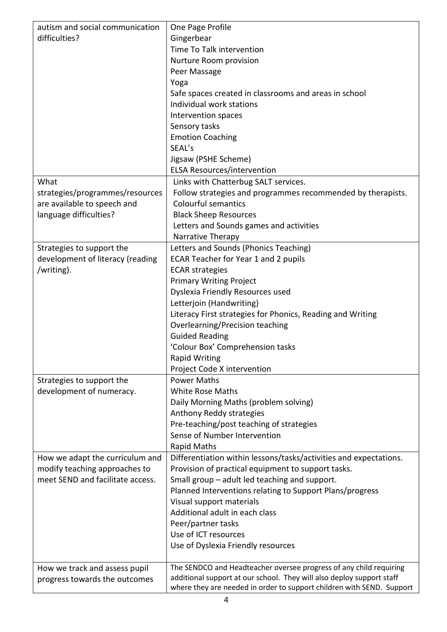| autism and social communication  | One Page Profile                                                      |
|----------------------------------|-----------------------------------------------------------------------|
| difficulties?                    | Gingerbear                                                            |
|                                  | Time To Talk intervention                                             |
|                                  | Nurture Room provision                                                |
|                                  | Peer Massage                                                          |
|                                  | Yoga                                                                  |
|                                  | Safe spaces created in classrooms and areas in school                 |
|                                  | Individual work stations                                              |
|                                  | Intervention spaces                                                   |
|                                  | Sensory tasks                                                         |
|                                  | <b>Emotion Coaching</b>                                               |
|                                  | SEAL's                                                                |
|                                  | Jigsaw (PSHE Scheme)                                                  |
|                                  | <b>ELSA Resources/intervention</b>                                    |
| What                             | Links with Chatterbug SALT services.                                  |
| strategies/programmes/resources  | Follow strategies and programmes recommended by therapists.           |
| are available to speech and      | <b>Colourful semantics</b>                                            |
| language difficulties?           | <b>Black Sheep Resources</b>                                          |
|                                  | Letters and Sounds games and activities                               |
|                                  | Narrative Therapy                                                     |
|                                  |                                                                       |
| Strategies to support the        | Letters and Sounds (Phonics Teaching)                                 |
| development of literacy (reading | ECAR Teacher for Year 1 and 2 pupils                                  |
| /writing).                       | <b>ECAR</b> strategies                                                |
|                                  | <b>Primary Writing Project</b>                                        |
|                                  | Dyslexia Friendly Resources used                                      |
|                                  | Letterjoin (Handwriting)                                              |
|                                  | Literacy First strategies for Phonics, Reading and Writing            |
|                                  | Overlearning/Precision teaching                                       |
|                                  | <b>Guided Reading</b>                                                 |
|                                  | 'Colour Box' Comprehension tasks                                      |
|                                  | Rapid Writing                                                         |
|                                  | Project Code X intervention                                           |
| Strategies to support the        | <b>Power Maths</b>                                                    |
| development of numeracy.         | <b>White Rose Maths</b>                                               |
|                                  | Daily Morning Maths (problem solving)                                 |
|                                  | Anthony Reddy strategies                                              |
|                                  | Pre-teaching/post teaching of strategies                              |
|                                  | Sense of Number Intervention                                          |
|                                  | <b>Rapid Maths</b>                                                    |
| How we adapt the curriculum and  | Differentiation within lessons/tasks/activities and expectations.     |
| modify teaching approaches to    | Provision of practical equipment to support tasks.                    |
| meet SEND and facilitate access. | Small group - adult led teaching and support.                         |
|                                  | Planned Interventions relating to Support Plans/progress              |
|                                  | Visual support materials                                              |
|                                  | Additional adult in each class                                        |
|                                  | Peer/partner tasks                                                    |
|                                  | Use of ICT resources                                                  |
|                                  | Use of Dyslexia Friendly resources                                    |
|                                  |                                                                       |
| How we track and assess pupil    | The SENDCO and Headteacher oversee progress of any child requiring    |
| progress towards the outcomes    | additional support at our school. They will also deploy support staff |
|                                  | where they are needed in order to support children with SEND. Support |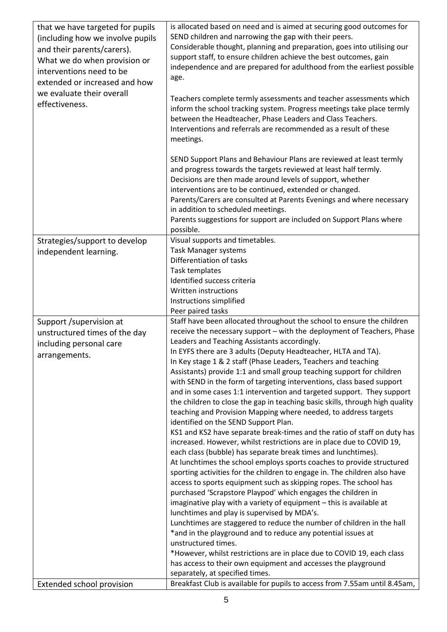| that we have targeted for pupils<br>(including how we involve pupils<br>and their parents/carers).<br>What we do when provision or<br>interventions need to be<br>extended or increased and how<br>we evaluate their overall<br>effectiveness. | is allocated based on need and is aimed at securing good outcomes for<br>SEND children and narrowing the gap with their peers.<br>Considerable thought, planning and preparation, goes into utilising our<br>support staff, to ensure children achieve the best outcomes, gain<br>independence and are prepared for adulthood from the earliest possible<br>age.<br>Teachers complete termly assessments and teacher assessments which<br>inform the school tracking system. Progress meetings take place termly<br>between the Headteacher, Phase Leaders and Class Teachers.<br>Interventions and referrals are recommended as a result of these<br>meetings.                                                                                                                                                                                                                                                                                                                                                                                                                                                                                                                                                                                                                                                                                                                                                                                                                                                                                                                                                                                                                                                                                |
|------------------------------------------------------------------------------------------------------------------------------------------------------------------------------------------------------------------------------------------------|------------------------------------------------------------------------------------------------------------------------------------------------------------------------------------------------------------------------------------------------------------------------------------------------------------------------------------------------------------------------------------------------------------------------------------------------------------------------------------------------------------------------------------------------------------------------------------------------------------------------------------------------------------------------------------------------------------------------------------------------------------------------------------------------------------------------------------------------------------------------------------------------------------------------------------------------------------------------------------------------------------------------------------------------------------------------------------------------------------------------------------------------------------------------------------------------------------------------------------------------------------------------------------------------------------------------------------------------------------------------------------------------------------------------------------------------------------------------------------------------------------------------------------------------------------------------------------------------------------------------------------------------------------------------------------------------------------------------------------------------|
|                                                                                                                                                                                                                                                | SEND Support Plans and Behaviour Plans are reviewed at least termly<br>and progress towards the targets reviewed at least half termly.<br>Decisions are then made around levels of support, whether<br>interventions are to be continued, extended or changed.<br>Parents/Carers are consulted at Parents Evenings and where necessary<br>in addition to scheduled meetings.<br>Parents suggestions for support are included on Support Plans where<br>possible.                                                                                                                                                                                                                                                                                                                                                                                                                                                                                                                                                                                                                                                                                                                                                                                                                                                                                                                                                                                                                                                                                                                                                                                                                                                                               |
| Strategies/support to develop<br>independent learning.                                                                                                                                                                                         | Visual supports and timetables.<br><b>Task Manager systems</b><br>Differentiation of tasks<br>Task templates<br>Identified success criteria<br>Written instructions<br>Instructions simplified<br>Peer paired tasks                                                                                                                                                                                                                                                                                                                                                                                                                                                                                                                                                                                                                                                                                                                                                                                                                                                                                                                                                                                                                                                                                                                                                                                                                                                                                                                                                                                                                                                                                                                            |
| Support / supervision at<br>unstructured times of the day<br>including personal care<br>arrangements.                                                                                                                                          | Staff have been allocated throughout the school to ensure the children<br>receive the necessary support - with the deployment of Teachers, Phase<br>Leaders and Teaching Assistants accordingly.<br>In EYFS there are 3 adults (Deputy Headteacher, HLTA and TA).<br>In Key stage 1 & 2 staff (Phase Leaders, Teachers and teaching<br>Assistants) provide 1:1 and small group teaching support for children<br>with SEND in the form of targeting interventions, class based support<br>and in some cases 1:1 intervention and targeted support. They support<br>the children to close the gap in teaching basic skills, through high quality<br>teaching and Provision Mapping where needed, to address targets<br>identified on the SEND Support Plan.<br>KS1 and KS2 have separate break-times and the ratio of staff on duty has<br>increased. However, whilst restrictions are in place due to COVID 19,<br>each class (bubble) has separate break times and lunchtimes).<br>At lunchtimes the school employs sports coaches to provide structured<br>sporting activities for the children to engage in. The children also have<br>access to sports equipment such as skipping ropes. The school has<br>purchased 'Scrapstore Playpod' which engages the children in<br>imaginative play with a variety of equipment - this is available at<br>lunchtimes and play is supervised by MDA's.<br>Lunchtimes are staggered to reduce the number of children in the hall<br>*and in the playground and to reduce any potential issues at<br>unstructured times.<br>*However, whilst restrictions are in place due to COVID 19, each class<br>has access to their own equipment and accesses the playground<br>separately, at specified times. |
| Extended school provision                                                                                                                                                                                                                      | Breakfast Club is available for pupils to access from 7.55am until 8.45am,                                                                                                                                                                                                                                                                                                                                                                                                                                                                                                                                                                                                                                                                                                                                                                                                                                                                                                                                                                                                                                                                                                                                                                                                                                                                                                                                                                                                                                                                                                                                                                                                                                                                     |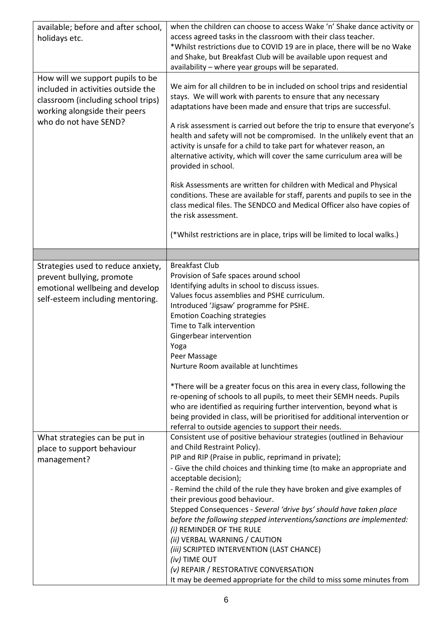| available; before and after school,<br>holidays etc.                                                                                          | when the children can choose to access Wake 'n' Shake dance activity or<br>access agreed tasks in the classroom with their class teacher.<br>*Whilst restrictions due to COVID 19 are in place, there will be no Wake<br>and Shake, but Breakfast Club will be available upon request and<br>availability - where year groups will be separated.                                                                                                                                                                                                                                                                                                                                                                                                                        |
|-----------------------------------------------------------------------------------------------------------------------------------------------|-------------------------------------------------------------------------------------------------------------------------------------------------------------------------------------------------------------------------------------------------------------------------------------------------------------------------------------------------------------------------------------------------------------------------------------------------------------------------------------------------------------------------------------------------------------------------------------------------------------------------------------------------------------------------------------------------------------------------------------------------------------------------|
| How will we support pupils to be<br>included in activities outside the<br>classroom (including school trips)<br>working alongside their peers | We aim for all children to be in included on school trips and residential<br>stays. We will work with parents to ensure that any necessary<br>adaptations have been made and ensure that trips are successful.                                                                                                                                                                                                                                                                                                                                                                                                                                                                                                                                                          |
| who do not have SEND?                                                                                                                         | A risk assessment is carried out before the trip to ensure that everyone's<br>health and safety will not be compromised. In the unlikely event that an<br>activity is unsafe for a child to take part for whatever reason, an<br>alternative activity, which will cover the same curriculum area will be<br>provided in school.                                                                                                                                                                                                                                                                                                                                                                                                                                         |
|                                                                                                                                               | Risk Assessments are written for children with Medical and Physical<br>conditions. These are available for staff, parents and pupils to see in the<br>class medical files. The SENDCO and Medical Officer also have copies of<br>the risk assessment.                                                                                                                                                                                                                                                                                                                                                                                                                                                                                                                   |
|                                                                                                                                               | (*Whilst restrictions are in place, trips will be limited to local walks.)                                                                                                                                                                                                                                                                                                                                                                                                                                                                                                                                                                                                                                                                                              |
|                                                                                                                                               |                                                                                                                                                                                                                                                                                                                                                                                                                                                                                                                                                                                                                                                                                                                                                                         |
| Strategies used to reduce anxiety,<br>prevent bullying, promote<br>emotional wellbeing and develop<br>self-esteem including mentoring.        | <b>Breakfast Club</b><br>Provision of Safe spaces around school<br>Identifying adults in school to discuss issues.<br>Values focus assemblies and PSHE curriculum.<br>Introduced 'Jigsaw' programme for PSHE.<br><b>Emotion Coaching strategies</b><br>Time to Talk intervention<br>Gingerbear intervention<br>Yoga<br>Peer Massage<br>Nurture Room available at lunchtimes<br>*There will be a greater focus on this area in every class, following the<br>re-opening of schools to all pupils, to meet their SEMH needs. Pupils<br>who are identified as requiring further intervention, beyond what is<br>being provided in class, will be prioritised for additional intervention or<br>referral to outside agencies to support their needs.                        |
| What strategies can be put in<br>place to support behaviour<br>management?                                                                    | Consistent use of positive behaviour strategies (outlined in Behaviour<br>and Child Restraint Policy).<br>PIP and RIP (Praise in public, reprimand in private);<br>- Give the child choices and thinking time (to make an appropriate and<br>acceptable decision);<br>- Remind the child of the rule they have broken and give examples of<br>their previous good behaviour.<br>Stepped Consequences - Several 'drive bys' should have taken place<br>before the following stepped interventions/sanctions are implemented:<br>(i) REMINDER OF THE RULE<br>(ii) VERBAL WARNING / CAUTION<br>(iii) SCRIPTED INTERVENTION (LAST CHANCE)<br>(iv) TIME OUT<br>(v) REPAIR / RESTORATIVE CONVERSATION<br>It may be deemed appropriate for the child to miss some minutes from |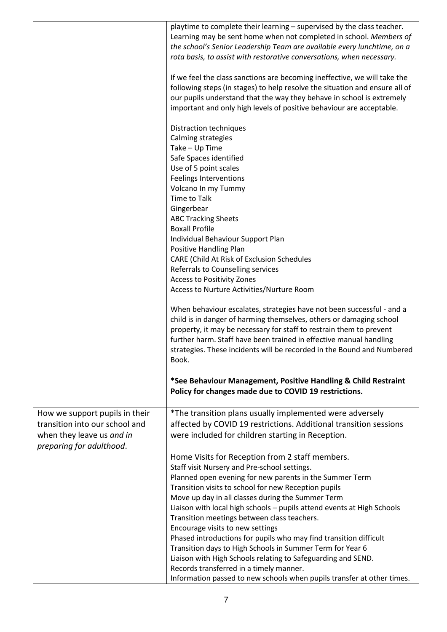|                                                                                                                           | playtime to complete their learning – supervised by the class teacher.<br>Learning may be sent home when not completed in school. Members of<br>the school's Senior Leadership Team are available every lunchtime, on a<br>rota basis, to assist with restorative conversations, when necessary.<br>If we feel the class sanctions are becoming ineffective, we will take the<br>following steps (in stages) to help resolve the situation and ensure all of<br>our pupils understand that the way they behave in school is extremely<br>important and only high levels of positive behaviour are acceptable. |
|---------------------------------------------------------------------------------------------------------------------------|---------------------------------------------------------------------------------------------------------------------------------------------------------------------------------------------------------------------------------------------------------------------------------------------------------------------------------------------------------------------------------------------------------------------------------------------------------------------------------------------------------------------------------------------------------------------------------------------------------------|
|                                                                                                                           | Distraction techniques<br>Calming strategies<br>Take - Up Time<br>Safe Spaces identified<br>Use of 5 point scales<br><b>Feelings Interventions</b><br>Volcano In my Tummy<br>Time to Talk<br>Gingerbear<br><b>ABC Tracking Sheets</b><br><b>Boxall Profile</b><br>Individual Behaviour Support Plan<br>Positive Handling Plan                                                                                                                                                                                                                                                                                 |
|                                                                                                                           | CARE (Child At Risk of Exclusion Schedules<br>Referrals to Counselling services<br><b>Access to Positivity Zones</b>                                                                                                                                                                                                                                                                                                                                                                                                                                                                                          |
|                                                                                                                           | Access to Nurture Activities/Nurture Room                                                                                                                                                                                                                                                                                                                                                                                                                                                                                                                                                                     |
|                                                                                                                           | When behaviour escalates, strategies have not been successful - and a<br>child is in danger of harming themselves, others or damaging school<br>property, it may be necessary for staff to restrain them to prevent<br>further harm. Staff have been trained in effective manual handling<br>strategies. These incidents will be recorded in the Bound and Numbered<br>Book.                                                                                                                                                                                                                                  |
|                                                                                                                           | *See Behaviour Management, Positive Handling & Child Restraint<br>Policy for changes made due to COVID 19 restrictions.                                                                                                                                                                                                                                                                                                                                                                                                                                                                                       |
| How we support pupils in their<br>transition into our school and<br>when they leave us and in<br>preparing for adulthood. | *The transition plans usually implemented were adversely<br>affected by COVID 19 restrictions. Additional transition sessions<br>were included for children starting in Reception.                                                                                                                                                                                                                                                                                                                                                                                                                            |
|                                                                                                                           | Home Visits for Reception from 2 staff members.<br>Staff visit Nursery and Pre-school settings.<br>Planned open evening for new parents in the Summer Term<br>Transition visits to school for new Reception pupils                                                                                                                                                                                                                                                                                                                                                                                            |
|                                                                                                                           | Move up day in all classes during the Summer Term<br>Liaison with local high schools - pupils attend events at High Schools<br>Transition meetings between class teachers.<br>Encourage visits to new settings                                                                                                                                                                                                                                                                                                                                                                                                |
|                                                                                                                           | Phased introductions for pupils who may find transition difficult<br>Transition days to High Schools in Summer Term for Year 6<br>Liaison with High Schools relating to Safeguarding and SEND.<br>Records transferred in a timely manner.                                                                                                                                                                                                                                                                                                                                                                     |
|                                                                                                                           | Information passed to new schools when pupils transfer at other times.                                                                                                                                                                                                                                                                                                                                                                                                                                                                                                                                        |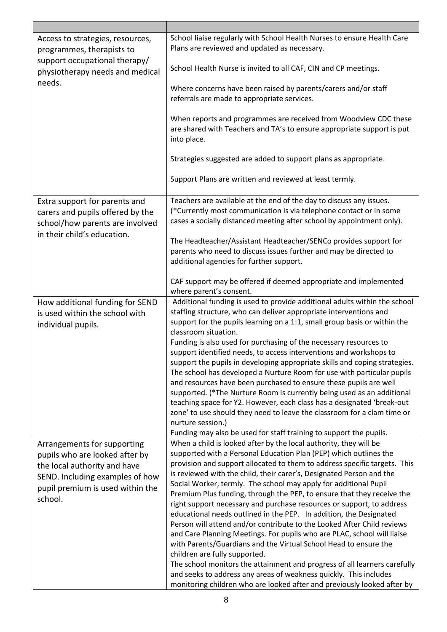| Access to strategies, resources,<br>programmes, therapists to    | School liaise regularly with School Health Nurses to ensure Health Care<br>Plans are reviewed and updated as necessary.                                   |
|------------------------------------------------------------------|-----------------------------------------------------------------------------------------------------------------------------------------------------------|
| support occupational therapy/<br>physiotherapy needs and medical | School Health Nurse is invited to all CAF, CIN and CP meetings.                                                                                           |
| needs.                                                           | Where concerns have been raised by parents/carers and/or staff<br>referrals are made to appropriate services.                                             |
|                                                                  | When reports and programmes are received from Woodview CDC these<br>are shared with Teachers and TA's to ensure appropriate support is put<br>into place. |
|                                                                  | Strategies suggested are added to support plans as appropriate.                                                                                           |
|                                                                  | Support Plans are written and reviewed at least termly.                                                                                                   |
| Extra support for parents and                                    | Teachers are available at the end of the day to discuss any issues.                                                                                       |
| carers and pupils offered by the                                 | (*Currently most communication is via telephone contact or in some                                                                                        |
| school/how parents are involved                                  | cases a socially distanced meeting after school by appointment only).                                                                                     |
| in their child's education.                                      |                                                                                                                                                           |
|                                                                  | The Headteacher/Assistant Headteacher/SENCo provides support for                                                                                          |
|                                                                  | parents who need to discuss issues further and may be directed to                                                                                         |
|                                                                  | additional agencies for further support.                                                                                                                  |
|                                                                  | CAF support may be offered if deemed appropriate and implemented                                                                                          |
|                                                                  | where parent's consent.                                                                                                                                   |
| How additional funding for SEND                                  | Additional funding is used to provide additional adults within the school                                                                                 |
| is used within the school with                                   | staffing structure, who can deliver appropriate interventions and                                                                                         |
| individual pupils.                                               | support for the pupils learning on a 1:1, small group basis or within the                                                                                 |
|                                                                  | classroom situation.                                                                                                                                      |
|                                                                  | Funding is also used for purchasing of the necessary resources to                                                                                         |
|                                                                  | support identified needs, to access interventions and workshops to<br>support the pupils in developing appropriate skills and coping strategies.          |
|                                                                  | The school has developed a Nurture Room for use with particular pupils                                                                                    |
|                                                                  | and resources have been purchased to ensure these pupils are well                                                                                         |
|                                                                  | supported. (*The Nurture Room is currently being used as an additional                                                                                    |
|                                                                  | teaching space for Y2. However, each class has a designated 'break-out                                                                                    |
|                                                                  | zone' to use should they need to leave the classroom for a clam time or                                                                                   |
|                                                                  | nurture session.)                                                                                                                                         |
|                                                                  | Funding may also be used for staff training to support the pupils.                                                                                        |
| Arrangements for supporting                                      | When a child is looked after by the local authority, they will be                                                                                         |
| pupils who are looked after by                                   | supported with a Personal Education Plan (PEP) which outlines the                                                                                         |
| the local authority and have                                     | provision and support allocated to them to address specific targets. This                                                                                 |
| SEND. Including examples of how                                  | is reviewed with the child, their carer's, Designated Person and the                                                                                      |
| pupil premium is used within the                                 | Social Worker, termly. The school may apply for additional Pupil<br>Premium Plus funding, through the PEP, to ensure that they receive the                |
| school.                                                          | right support necessary and purchase resources or support, to address                                                                                     |
|                                                                  | educational needs outlined in the PEP. In addition, the Designated                                                                                        |
|                                                                  | Person will attend and/or contribute to the Looked After Child reviews                                                                                    |
|                                                                  | and Care Planning Meetings. For pupils who are PLAC, school will liaise                                                                                   |
|                                                                  | with Parents/Guardians and the Virtual School Head to ensure the                                                                                          |
|                                                                  | children are fully supported.                                                                                                                             |
|                                                                  | The school monitors the attainment and progress of all learners carefully                                                                                 |
|                                                                  | and seeks to address any areas of weakness quickly. This includes                                                                                         |
|                                                                  | monitoring children who are looked after and previously looked after by                                                                                   |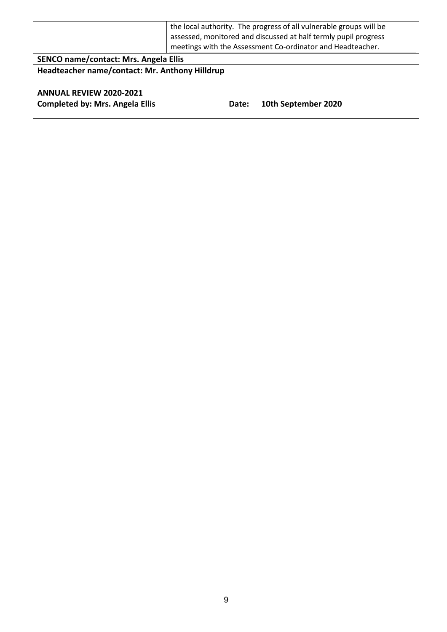|                                                                          | the local authority. The progress of all vulnerable groups will be |  |
|--------------------------------------------------------------------------|--------------------------------------------------------------------|--|
|                                                                          | assessed, monitored and discussed at half termly pupil progress    |  |
|                                                                          | meetings with the Assessment Co-ordinator and Headteacher.         |  |
| SENCO name/contact: Mrs. Angela Ellis                                    |                                                                    |  |
| Headteacher name/contact: Mr. Anthony Hilldrup                           |                                                                    |  |
| <b>ANNUAL REVIEW 2020-2021</b><br><b>Completed by: Mrs. Angela Ellis</b> | 10th September 2020<br>Date:                                       |  |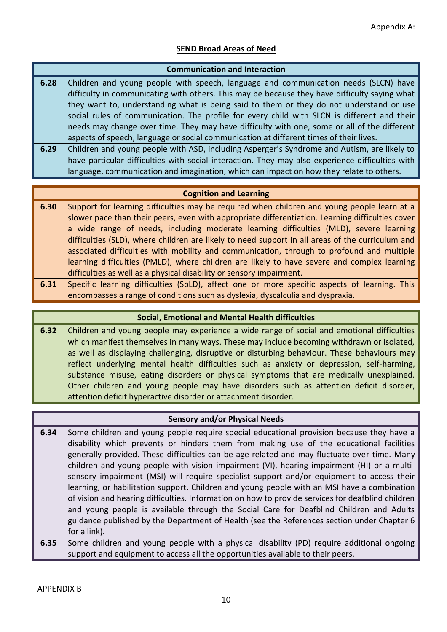# **SEND Broad Areas of Need**

|      | <b>Communication and Interaction</b>                                                             |
|------|--------------------------------------------------------------------------------------------------|
| 6.28 | Children and young people with speech, language and communication needs (SLCN) have              |
|      | difficulty in communicating with others. This may be because they have difficulty saying what    |
|      | they want to, understanding what is being said to them or they do not understand or use          |
|      | social rules of communication. The profile for every child with SLCN is different and their      |
|      | needs may change over time. They may have difficulty with one, some or all of the different      |
|      | aspects of speech, language or social communication at different times of their lives.           |
| 6.29 | Children and young people with ASD, including Asperger's Syndrome and Autism, are likely to      |
|      | have particular difficulties with social interaction. They may also experience difficulties with |
|      | language, communication and imagination, which can impact on how they relate to others.          |

## **Cognition and Learning**

| 6.30 | Support for learning difficulties may be required when children and young people learn at a      |
|------|--------------------------------------------------------------------------------------------------|
|      | slower pace than their peers, even with appropriate differentiation. Learning difficulties cover |
|      | a wide range of needs, including moderate learning difficulties (MLD), severe learning           |
|      | difficulties (SLD), where children are likely to need support in all areas of the curriculum and |
|      | associated difficulties with mobility and communication, through to profound and multiple        |
|      | learning difficulties (PMLD), where children are likely to have severe and complex learning      |
|      | difficulties as well as a physical disability or sensory impairment.                             |
|      |                                                                                                  |

**6.31** Specific learning difficulties (SpLD), affect one or more specific aspects of learning. This encompasses a range of conditions such as dyslexia, dyscalculia and dyspraxia.

### **Social, Emotional and Mental Health difficulties**

**6.32** Children and young people may experience a wide range of social and emotional difficulties which manifest themselves in many ways. These may include becoming withdrawn or isolated, as well as displaying challenging, disruptive or disturbing behaviour. These behaviours may reflect underlying mental health difficulties such as anxiety or depression, self-harming, substance misuse, eating disorders or physical symptoms that are medically unexplained. Other children and young people may have disorders such as attention deficit disorder, attention deficit hyperactive disorder or attachment disorder.

### **Sensory and/or Physical Needs**

**6.34** Some children and young people require special educational provision because they have a disability which prevents or hinders them from making use of the educational facilities generally provided. These difficulties can be age related and may fluctuate over time. Many children and young people with vision impairment (VI), hearing impairment (HI) or a multisensory impairment (MSI) will require specialist support and/or equipment to access their learning, or habilitation support. Children and young people with an MSI have a combination of vision and hearing difficulties. Information on how to provide services for deafblind children and young people is available through the Social Care for Deafblind Children and Adults guidance published by the Department of Health (see the References section under Chapter 6 for a link). **6.35** Some children and young people with a physical disability (PD) require additional ongoing support and equipment to access all the opportunities available to their peers.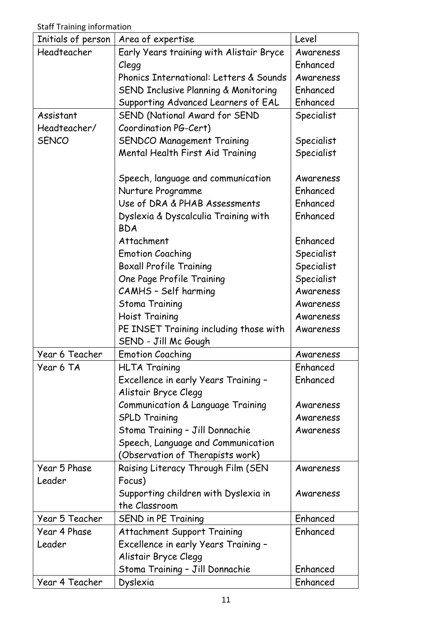Staff Training information

| Initials of person | Area of expertise                            | Level      |
|--------------------|----------------------------------------------|------------|
| Headteacher        | Early Years training with Alistair Bryce     | Awareness  |
|                    | Clegg                                        | Enhanced   |
|                    | Phonics International: Letters & Sounds      | Awareness  |
|                    | SEND Inclusive Planning & Monitoring         | Enhanced   |
|                    | Supporting Advanced Learners of EAL          | Enhanced   |
| Assistant          | SEND (National Award for SEND                | Specialist |
| Headteacher/       | Coordination PG-Cert)                        |            |
| <b>SENCO</b>       | <b>SENDCO Management Training</b>            | Specialist |
|                    | Mental Health First Aid Training             | Specialist |
|                    |                                              |            |
|                    | Speech, language and communication           | Awareness  |
|                    | Nurture Programme                            | Enhanced   |
|                    | Use of DRA & PHAB Assessments                | Enhanced   |
|                    | Dyslexia & Dyscalculia Training with         | Enhanced   |
|                    | <b>BDA</b>                                   |            |
|                    | Attachment                                   | Enhanced   |
|                    | <b>Emotion Coaching</b>                      | Specialist |
|                    | <b>Boxall Profile Training</b>               | Specialist |
|                    | One Page Profile Training                    | Specialist |
|                    | CAMHS - Self harming                         | Awareness  |
|                    | <b>Stoma Training</b>                        | Awareness  |
|                    | Hoist Training                               | Awareness  |
|                    | PE INSET Training including those with       | Awareness  |
|                    | SEND - Jill Mc Gough                         |            |
| Year 6 Teacher     | <b>Emotion Coaching</b>                      | Awareness  |
| Year 6 TA          | <b>HLTA Training</b>                         | Enhanced   |
|                    | Excellence in early Years Training -         | Enhanced   |
|                    | Alistair Bryce Clegg                         |            |
|                    | <b>Communication &amp; Language Training</b> | Awareness  |
|                    | <b>SPLD Training</b>                         | Awareness  |
|                    | Stoma Training - Jill Donnachie              | Awareness  |
|                    | Speech, Language and Communication           |            |
|                    | (Observation of Therapists work)             |            |
| Year 5 Phase       | Raising Literacy Through Film (SEN           | Awareness  |
| Leader             | Focus)                                       |            |
|                    | Supporting children with Dyslexia in         | Awareness  |
|                    | the Classroom                                |            |
| Year 5 Teacher     | SEND in PE Training                          | Enhanced   |
| Year 4 Phase       | <b>Attachment Support Training</b>           | Enhanced   |
| Leader             | Excellence in early Years Training -         |            |
|                    | Alistair Bryce Clegg                         |            |
|                    | Stoma Training - Jill Donnachie              | Enhanced   |
| Year 4 Teacher     | Dyslexia                                     | Enhanced   |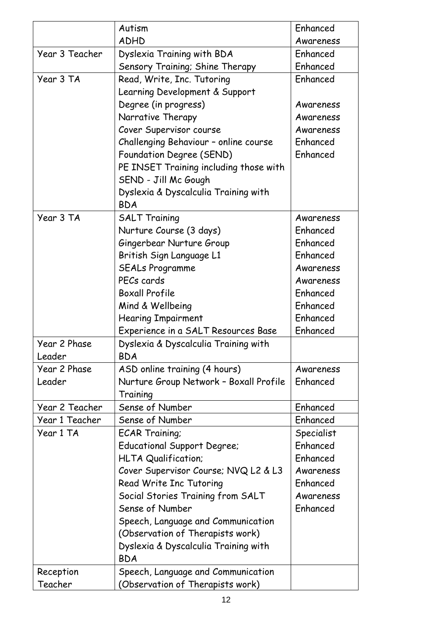|                | Autism                                 | Enhanced   |
|----------------|----------------------------------------|------------|
|                | <b>ADHD</b>                            | Awareness  |
| Year 3 Teacher | Dyslexia Training with BDA             | Enhanced   |
|                | Sensory Training; Shine Therapy        | Enhanced   |
| Year 3 TA      | Read, Write, Inc. Tutoring             | Enhanced   |
|                | Learning Development & Support         |            |
|                | Degree (in progress)                   | Awareness  |
|                | Narrative Therapy                      | Awareness  |
|                | Cover Supervisor course                | Awareness  |
|                | Challenging Behaviour - online course  | Enhanced   |
|                | Foundation Degree (SEND)               | Enhanced   |
|                | PE INSET Training including those with |            |
|                | SEND - Jill Mc Gough                   |            |
|                | Dyslexia & Dyscalculia Training with   |            |
|                | <b>BDA</b>                             |            |
| Year 3 TA      | <b>SALT Training</b>                   | Awareness  |
|                | Nurture Course (3 days)                | Enhanced   |
|                | Gingerbear Nurture Group               | Enhanced   |
|                | British Sign Language L1               | Enhanced   |
|                | <b>SEALs Programme</b>                 | Awareness  |
|                | PECs cards                             | Awareness  |
|                | <b>Boxall Profile</b>                  | Enhanced   |
|                | Mind & Wellbeing                       | Enhanced   |
|                | <b>Hearing Impairment</b>              | Enhanced   |
|                | Experience in a SALT Resources Base    | Enhanced   |
| Year 2 Phase   | Dyslexia & Dyscalculia Training with   |            |
| Leader         | <b>BDA</b>                             |            |
| Year 2 Phase   | ASD online training (4 hours)          | Awareness  |
| Leader         | Nurture Group Network - Boxall Profile | Enhanced   |
|                | Training                               |            |
| Year 2 Teacher | Sense of Number                        | Enhanced   |
| Year 1 Teacher | Sense of Number                        | Enhanced   |
| Year 1 TA      | <b>ECAR Training:</b>                  | Specialist |
|                | <b>Educational Support Degree;</b>     | Enhanced   |
|                | <b>HLTA Qualification;</b>             | Enhanced   |
|                | Cover Supervisor Course; NVQ L2 & L3   | Awareness  |
|                | Read Write Inc Tutoring                | Enhanced   |
|                | Social Stories Training from SALT      | Awareness  |
|                | Sense of Number                        | Enhanced   |
|                | Speech, Language and Communication     |            |
|                | (Observation of Therapists work)       |            |
|                | Dyslexia & Dyscalculia Training with   |            |
|                | <b>BDA</b>                             |            |
| Reception      | Speech, Language and Communication     |            |
| Teacher        | (Observation of Therapists work)       |            |